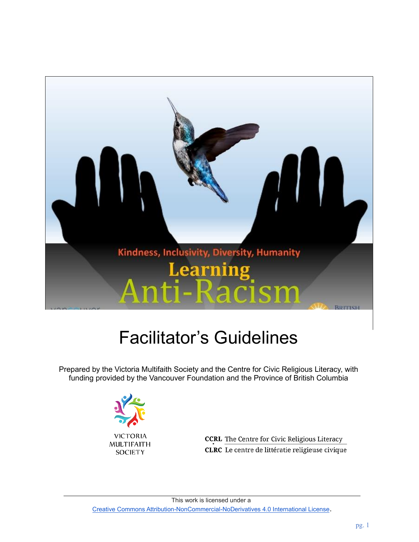

# Facilitator's Guidelines

Prepared by the Victoria Multifaith Society and the Centre for Civic Religious Literacy, with funding provided by the Vancouver Foundation and the Province of British Columbia



**CCRL** The Centre for Civic Religious Literacy CLRC Le centre de littératie religieuse civique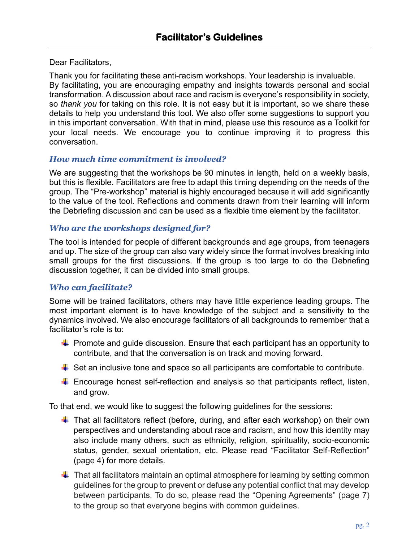Dear Facilitators,

Thank you for facilitating these anti-racism workshops. Your leadership is invaluable. By facilitating, you are encouraging empathy and insights towards personal and social transformation. A discussion about race and racism is everyone's responsibility in society, so *thank you* for taking on this role. It is not easy but it is important, so we share these details to help you understand this tool. We also offer some suggestions to support you in this important conversation. With that in mind, please use this resource as a Toolkit for your local needs. We encourage you to continue improving it to progress this conversation.

#### *How much time commitment is involved?*

We are suggesting that the workshops be 90 minutes in length, held on a weekly basis, but this is flexible. Facilitators are free to adapt this timing depending on the needs of the group. The "Pre-workshop" material is highly encouraged because it will add significantly to the value of the tool. Reflections and comments drawn from their learning will inform the Debriefing discussion and can be used as a flexible time element by the facilitator.

#### *Who are the workshops designed for?*

The tool is intended for people of different backgrounds and age groups, from teenagers and up. The size of the group can also vary widely since the format involves breaking into small groups for the first discussions. If the group is too large to do the Debriefing discussion together, it can be divided into small groups.

#### *Who can facilitate?*

Some will be trained facilitators, others may have little experience leading groups. The most important element is to have knowledge of the subject and a sensitivity to the dynamics involved. We also encourage facilitators of all backgrounds to remember that a facilitator's role is to:

- $\ddot{+}$  Promote and guide discussion. Ensure that each participant has an opportunity to contribute, and that the conversation is on track and moving forward.
- $\downarrow$  Set an inclusive tone and space so all participants are comfortable to contribute.
- $\downarrow$  Encourage honest self-reflection and analysis so that participants reflect, listen, and grow.

To that end, we would like to suggest the following guidelines for the sessions:

- $\ddot{+}$  That all facilitators reflect (before, during, and after each workshop) on their own perspectives and understanding about race and racism, and how this identity may also include many others, such as ethnicity, religion, spirituality, socio-economic status, gender, sexual orientation, etc. Please read "Facilitator Self-Reflection" (page 4) for more details.
- $\ddot{\phantom{1}}$  That all facilitators maintain an optimal atmosphere for learning by setting common guidelines for the group to prevent or defuse any potential conflict that may develop between participants. To do so, please read the "Opening Agreements" (page 7) to the group so that everyone begins with common guidelines.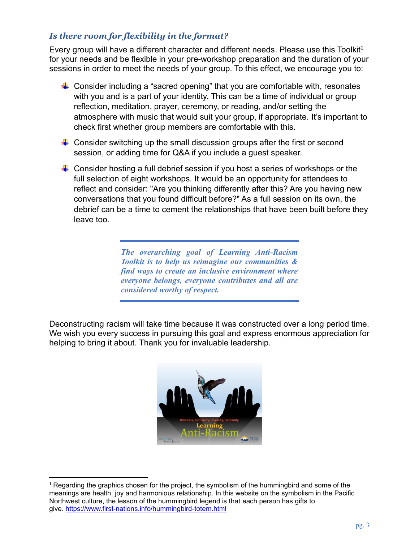# *Is there room for flexibility in the format?*

Every group will have a different character and different needs. Please use this Toolkit<sup>1</sup> for your needs and be flexible in your pre-workshop preparation and the duration of your sessions in order to meet the needs of your group. To this effect, we encourage you to:

- $\triangleq$  Consider including a "sacred opening" that you are comfortable with, resonates with you and is a part of your identity. This can be a time of individual or group reflection, meditation, prayer, ceremony, or reading, and/or setting the atmosphere with music that would suit your group, if appropriate. It's important to check first whether group members are comfortable with this.
- $\downarrow$  Consider switching up the small discussion groups after the first or second session, or adding time for Q&A if you include a guest speaker.
- $\ddot{\phantom{1}}$  Consider hosting a full debrief session if you host a series of workshops or the full selection of eight workshops. It would be an opportunity for attendees to reflect and consider: "Are you thinking differently after this? Are you having new conversations that you found difficult before?" As a full session on its own, the debrief can be a time to cement the relationships that have been built before they leave too.

*The overarching goal of Learning Anti-Racism Toolkit is to help us reimagine our communities & find ways to create an inclusive environment where everyone belongs, everyone contributes and all are considered worthy of respect.*

Deconstructing racism will take time because it was constructed over a long period time. We wish you every success in pursuing this goal and express enormous appreciation for helping to bring it about. Thank you for invaluable leadership.



 $1$  Regarding the graphics chosen for the project, the symbolism of the hummingbird and some of the meanings are health, joy and harmonious relationship. In this website on the symbolism in the Pacific Northwest culture, the lesson of the hummingbird legend is that each person has gifts to give. <https://www.first-nations.info/hummingbird-totem.html>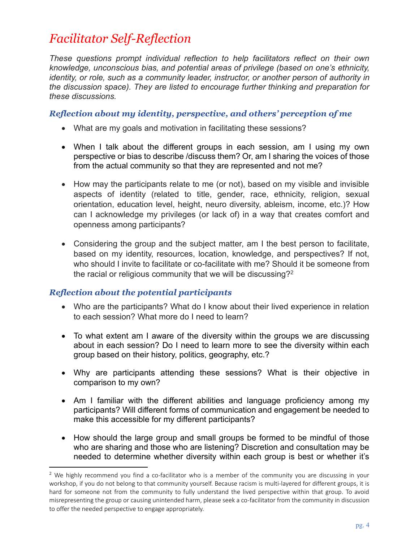# *Facilitator Self-Reflection*

*These questions prompt individual reflection to help facilitators reflect on their own knowledge, unconscious bias, and potential areas of privilege (based on one's ethnicity, identity, or role, such as a community leader, instructor, or another person of authority in the discussion space). They are listed to encourage further thinking and preparation for these discussions.*

#### *Reflection about my identity, perspective, and others' perception of me*

- What are my goals and motivation in facilitating these sessions?
- When I talk about the different groups in each session, am I using my own perspective or bias to describe /discuss them? Or, am I sharing the voices of those from the actual community so that they are represented and not me?
- How may the participants relate to me (or not), based on my visible and invisible aspects of identity (related to title, gender, race, ethnicity, religion, sexual orientation, education level, height, neuro diversity, ableism, income, etc.)? How can I acknowledge my privileges (or lack of) in a way that creates comfort and openness among participants?
- Considering the group and the subject matter, am I the best person to facilitate, based on my identity, resources, location, knowledge, and perspectives? If not, who should I invite to facilitate or co-facilitate with me? Should it be someone from the racial or religious community that we will be discussing?<sup>2</sup>

# *Reflection about the potential participants*

- Who are the participants? What do I know about their lived experience in relation to each session? What more do I need to learn?
- To what extent am I aware of the diversity within the groups we are discussing about in each session? Do I need to learn more to see the diversity within each group based on their history, politics, geography, etc.?
- Why are participants attending these sessions? What is their objective in comparison to my own?
- Am I familiar with the different abilities and language proficiency among my participants? Will different forms of communication and engagement be needed to make this accessible for my different participants?
- How should the large group and small groups be formed to be mindful of those who are sharing and those who are listening? Discretion and consultation may be needed to determine whether diversity within each group is best or whether it's

 $2$  We highly recommend you find a co-facilitator who is a member of the community you are discussing in your workshop, if you do not belong to that community yourself. Because racism is multi-layered for different groups, it is hard for someone not from the community to fully understand the lived perspective within that group. To avoid misrepresenting the group or causing unintended harm, please seek a co-facilitator from the community in discussion to offer the needed perspective to engage appropriately.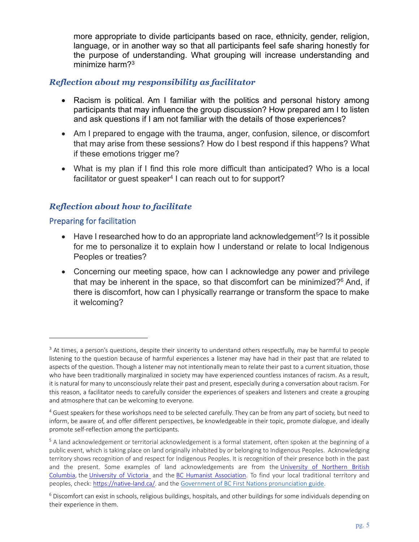more appropriate to divide participants based on race, ethnicity, gender, religion, language, or in another way so that all participants feel safe sharing honestly for the purpose of understanding. What grouping will increase understanding and minimize harm?<sup>3</sup>

#### *Reflection about my responsibility as facilitator*

- Racism is political. Am I familiar with the politics and personal history among participants that may influence the group discussion? How prepared am I to listen and ask questions if I am not familiar with the details of those experiences?
- Am I prepared to engage with the trauma, anger, confusion, silence, or discomfort that may arise from these sessions? How do I best respond if this happens? What if these emotions trigger me?
- What is my plan if I find this role more difficult than anticipated? Who is a local facilitator or guest speaker $4$  I can reach out to for support?

# *Reflection about how to facilitate*

#### Preparing for facilitation

- Have I researched how to do an appropriate land acknowledgement<sup>5</sup>? Is it possible for me to personalize it to explain how I understand or relate to local Indigenous Peoples or treaties?
- Concerning our meeting space, how can I acknowledge any power and privilege that may be inherent in the space, so that discomfort can be minimized?<sup>6</sup> And, if there is discomfort, how can I physically rearrange or transform the space to make it welcoming?

 $3$  At times, a person's questions, despite their sincerity to understand others respectfully, may be harmful to people listening to the question because of harmful experiences a listener may have had in their past that are related to aspects of the question. Though a listener may not intentionally mean to relate their past to a current situation, those who have been traditionally marginalized in society may have experienced countless instances of racism. As a result, it is natural for many to unconsciously relate their past and present, especially during a conversation about racism. For this reason, a facilitator needs to carefully consider the experiences of speakers and listeners and create a grouping and atmosphere that can be welcoming to everyone.

<sup>&</sup>lt;sup>4</sup> Guest speakers for these workshops need to be selected carefully. They can be from any part of society, but need to inform, be aware of, and offer different perspectives, be knowledgeable in their topic, promote dialogue, and ideally promote self-reflection among the participants.

<sup>5</sup> A land acknowledgement or territorial acknowledgement is a formal statement, often spoken at the beginning of a public event, which is taking place on land originally inhabited by or belonging to Indigenous Peoples. Acknowledging territory shows recognition of and respect for Indigenous Peoples. It is recognition of their presence both in the past and the present. Some examples of land acknowledgements are from the [University of Northern British](https://www2.unbc.ca/indigenous-resource-dati/traditional-territory-acknowledgement)  [Columbia,](https://www2.unbc.ca/indigenous-resource-dati/traditional-territory-acknowledgement) the [University of Victoria](https://www.uvic.ca/) and the [BC Humanist Association.](https://www.bchumanist.ca/territorial_acknowledgement) To find your local traditional territory and peoples, check: [https://native-land.ca/.](https://native-land.ca/) and the [Government of BC First Nations pronunciation guide.](https://www2.gov.bc.ca/assets/gov/british-columbians-our-governments/indigenous-people/aboriginal-peoples-documents/a_guide_to_pronunciation_of_bc_first_nations_-_oct_29_2018.pdf)

<sup>6</sup> Discomfort can exist in schools, religious buildings, hospitals, and other buildings for some individuals depending on their experience in them.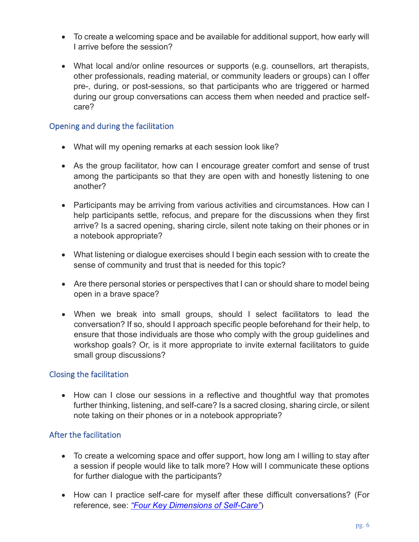- To create a welcoming space and be available for additional support, how early will I arrive before the session?
- What local and/or online resources or supports (e.g. counsellors, art therapists, other professionals, reading material, or community leaders or groups) can I offer pre-, during, or post-sessions, so that participants who are triggered or harmed during our group conversations can access them when needed and practice selfcare?

#### Opening and during the facilitation

- What will my opening remarks at each session look like?
- As the group facilitator, how can I encourage greater comfort and sense of trust among the participants so that they are open with and honestly listening to one another?
- Participants may be arriving from various activities and circumstances. How can I help participants settle, refocus, and prepare for the discussions when they first arrive? Is a sacred opening, sharing circle, silent note taking on their phones or in a notebook appropriate?
- What listening or dialogue exercises should I begin each session with to create the sense of community and trust that is needed for this topic?
- Are there personal stories or perspectives that I can or should share to model being open in a brave space?
- When we break into small groups, should I select facilitators to lead the conversation? If so, should I approach specific people beforehand for their help, to ensure that those individuals are those who comply with the group guidelines and workshop goals? Or, is it more appropriate to invite external facilitators to guide small group discussions?

#### Closing the facilitation

• How can I close our sessions in a reflective and thoughtful way that promotes further thinking, listening, and self-care? Is a sacred closing, sharing circle, or silent note taking on their phones or in a notebook appropriate?

#### After the facilitation

- To create a welcoming space and offer support, how long am I willing to stay after a session if people would like to talk more? How will I communicate these options for further dialogue with the participants?
- How can I practice self-care for myself after these difficult conversations? (For reference, see: *["Four Key Dimensions of Self-Care"](https://ca.ctrinstitute.com/blog/4-key-dimensions-self-care/)*)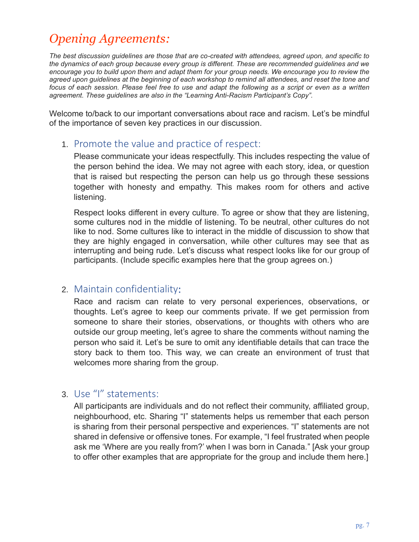# *Opening Agreements:*

*The best discussion guidelines are those that are co-created with attendees, agreed upon, and specific to the dynamics of each group because every group is different. These are recommended guidelines and we encourage you to build upon them and adapt them for your group needs. We encourage you to review the agreed upon guidelines at the beginning of each workshop to remind all attendees, and reset the tone and focus of each session. Please feel free to use and adapt the following as a script or even as a written agreement. These guidelines are also in the "Learning Anti-Racism Participant's Copy".*

Welcome to/back to our important conversations about race and racism. Let's be mindful of the importance of seven key practices in our discussion.

# 1. Promote the value and practice of respect:

Please communicate your ideas respectfully. This includes respecting the value of the person behind the idea. We may not agree with each story, idea, or question that is raised but respecting the person can help us go through these sessions together with honesty and empathy. This makes room for others and active listening.

Respect looks different in every culture. To agree or show that they are listening, some cultures nod in the middle of listening. To be neutral, other cultures do not like to nod. Some cultures like to interact in the middle of discussion to show that they are highly engaged in conversation, while other cultures may see that as interrupting and being rude. Let's discuss what respect looks like for our group of participants. (Include specific examples here that the group agrees on.)

# 2. Maintain confidentiality:

Race and racism can relate to very personal experiences, observations, or thoughts. Let's agree to keep our comments private. If we get permission from someone to share their stories, observations, or thoughts with others who are outside our group meeting, let's agree to share the comments without naming the person who said it. Let's be sure to omit any identifiable details that can trace the story back to them too. This way, we can create an environment of trust that welcomes more sharing from the group.

# 3. Use "I" statements:

All participants are individuals and do not reflect their community, affiliated group, neighbourhood, etc. Sharing "I" statements helps us remember that each person is sharing from their personal perspective and experiences. "I" statements are not shared in defensive or offensive tones. For example, "I feel frustrated when people ask me 'Where are you really from?' when I was born in Canada." [Ask your group to offer other examples that are appropriate for the group and include them here.]